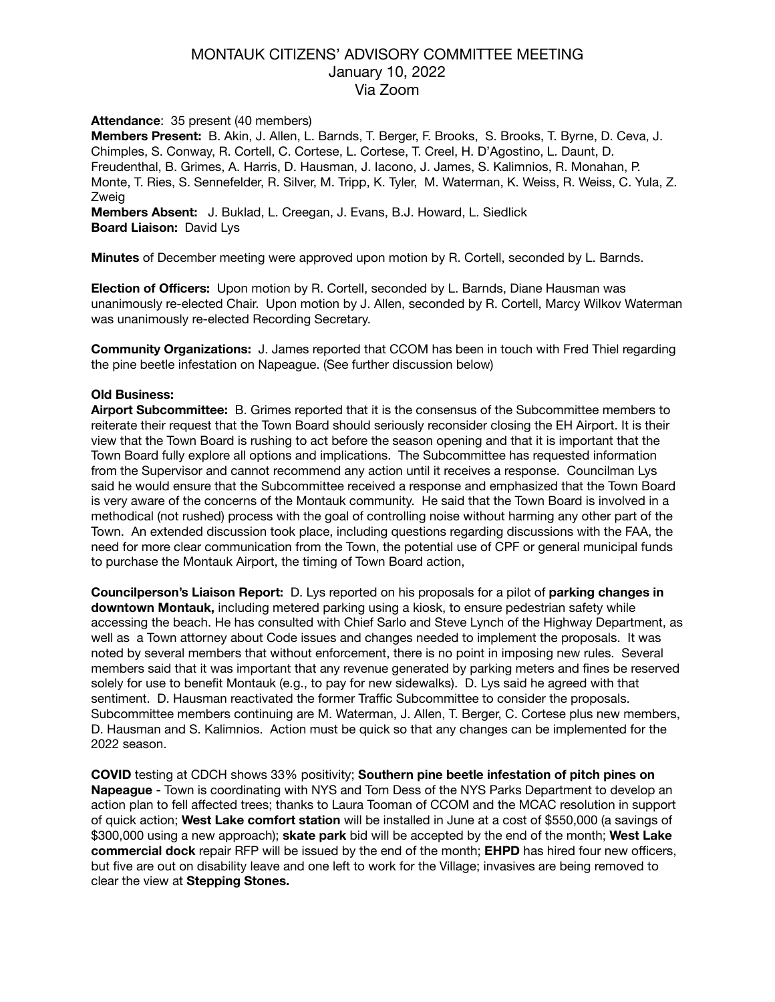# MONTAUK CITIZENS' ADVISORY COMMITTEE MEETING January 10, 2022 Via Zoom

### **Attendance**: 35 present (40 members)

**Members Present:** B. Akin, J. Allen, L. Barnds, T. Berger, F. Brooks, S. Brooks, T. Byrne, D. Ceva, J. Chimples, S. Conway, R. Cortell, C. Cortese, L. Cortese, T. Creel, H. D'Agostino, L. Daunt, D. Freudenthal, B. Grimes, A. Harris, D. Hausman, J. Iacono, J. James, S. Kalimnios, R. Monahan, P. Monte, T. Ries, S. Sennefelder, R. Silver, M. Tripp, K. Tyler, M. Waterman, K. Weiss, R. Weiss, C. Yula, Z. Zweig

**Members Absent:** J. Buklad, L. Creegan, J. Evans, B.J. Howard, L. Siedlick **Board Liaison:** David Lys

**Minutes** of December meeting were approved upon motion by R. Cortell, seconded by L. Barnds.

**Election of Officers:** Upon motion by R. Cortell, seconded by L. Barnds, Diane Hausman was unanimously re-elected Chair. Upon motion by J. Allen, seconded by R. Cortell, Marcy Wilkov Waterman was unanimously re-elected Recording Secretary.

**Community Organizations:** J. James reported that CCOM has been in touch with Fred Thiel regarding the pine beetle infestation on Napeague. (See further discussion below)

#### **Old Business:**

**Airport Subcommittee:** B. Grimes reported that it is the consensus of the Subcommittee members to reiterate their request that the Town Board should seriously reconsider closing the EH Airport. It is their view that the Town Board is rushing to act before the season opening and that it is important that the Town Board fully explore all options and implications. The Subcommittee has requested information from the Supervisor and cannot recommend any action until it receives a response. Councilman Lys said he would ensure that the Subcommittee received a response and emphasized that the Town Board is very aware of the concerns of the Montauk community. He said that the Town Board is involved in a methodical (not rushed) process with the goal of controlling noise without harming any other part of the Town. An extended discussion took place, including questions regarding discussions with the FAA, the need for more clear communication from the Town, the potential use of CPF or general municipal funds to purchase the Montauk Airport, the timing of Town Board action,

**Councilperson's Liaison Report:** D. Lys reported on his proposals for a pilot of **parking changes in downtown Montauk,** including metered parking using a kiosk, to ensure pedestrian safety while accessing the beach. He has consulted with Chief Sarlo and Steve Lynch of the Highway Department, as well as a Town attorney about Code issues and changes needed to implement the proposals. It was noted by several members that without enforcement, there is no point in imposing new rules. Several members said that it was important that any revenue generated by parking meters and fines be reserved solely for use to benefit Montauk (e.g., to pay for new sidewalks). D. Lys said he agreed with that sentiment. D. Hausman reactivated the former Traffic Subcommittee to consider the proposals. Subcommittee members continuing are M. Waterman, J. Allen, T. Berger, C. Cortese plus new members, D. Hausman and S. Kalimnios. Action must be quick so that any changes can be implemented for the 2022 season.

**COVID** testing at CDCH shows 33% positivity; **Southern pine beetle infestation of pitch pines on Napeague** - Town is coordinating with NYS and Tom Dess of the NYS Parks Department to develop an action plan to fell affected trees; thanks to Laura Tooman of CCOM and the MCAC resolution in support of quick action; **West Lake comfort station** will be installed in June at a cost of \$550,000 (a savings of \$300,000 using a new approach); **skate park** bid will be accepted by the end of the month; **West Lake commercial dock** repair RFP will be issued by the end of the month; **EHPD** has hired four new officers, but five are out on disability leave and one left to work for the Village; invasives are being removed to clear the view at **Stepping Stones.**